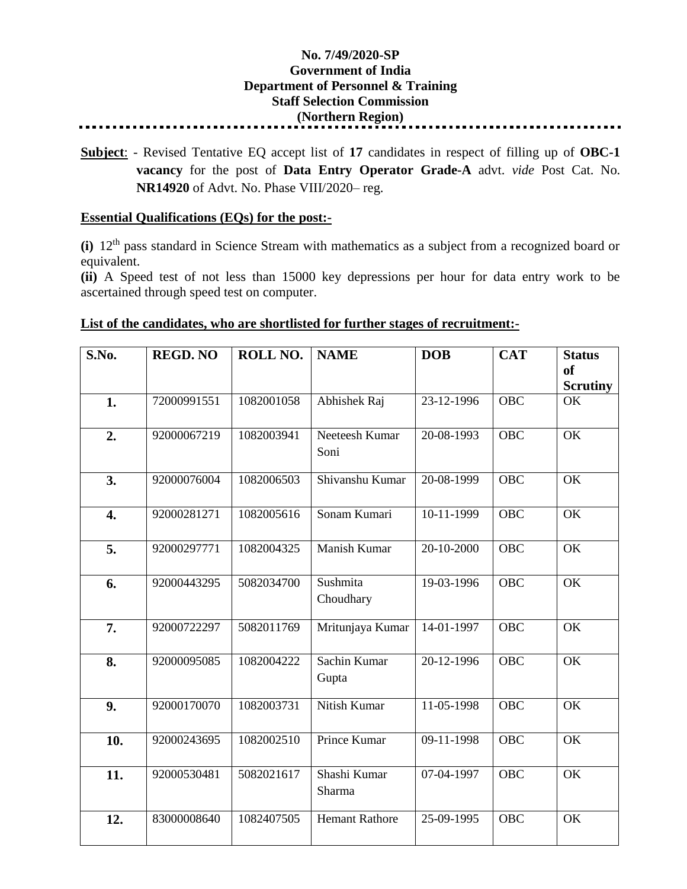## **No. 7/49/2020-SP Government of India Department of Personnel & Training Staff Selection Commission (Northern Region)**

**Subject**: - Revised Tentative EQ accept list of **17** candidates in respect of filling up of **OBC-1 vacancy** for the post of **Data Entry Operator Grade-A** advt. *vide* Post Cat. No. **NR14920** of Advt. No. Phase VIII/2020– reg.

## **Essential Qualifications (EQs) for the post:-**

**(i)** 12th pass standard in Science Stream with mathematics as a subject from a recognized board or equivalent.

**(ii)** A Speed test of not less than 15000 key depressions per hour for data entry work to be ascertained through speed test on computer.

## **S.No. REGD. NO ROLL NO. NAME DOB CAT Status of Scrutiny 1.** 72000991551 1082001058 Abhishek Raj 23-12-1996 OBC OK **2.** 92000067219 1082003941 Neeteesh Kumar Soni 20-08-1993 OBC OK **3.** 92000076004 1082006503 Shivanshu Kumar 20-08-1999 OBC OK **4.** 92000281271 1082005616 Sonam Kumari 10-11-1999 OBC OK **5.** 92000297771 1082004325 Manish Kumar 20-10-2000 OBC OK **6.** 92000443295 5082034700 Sushmita Choudhary 19-03-1996 | OBC | OK **7.** 92000722297 5082011769 Mritunjaya Kumar 14-01-1997 OBC OK **8.** 92000095085 1082004222 Sachin Kumar Gupta 20-12-1996 | OBC | OK **9.** 92000170070 1082003731 Nitish Kumar 11-05-1998 OBC OK **10.** 92000243695 1082002510 Prince Kumar 09-11-1998 OBC OK 11. 92000530481 5082021617 Shashi Kumar Sharma 07-04-1997 | OBC | OK **12.** 83000008640 1082407505 Hemant Rathore 25-09-1995 OBC OK

## **List of the candidates, who are shortlisted for further stages of recruitment:-**